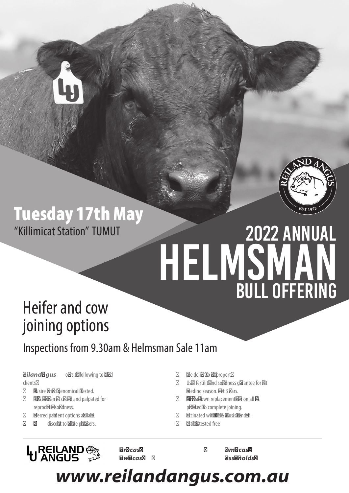

# Tuesday 17th May "Killimicat Station" TUMUT

# 2022 Annual BULL OFFERING HELMSMAN

# Heifer and cow joining options

## Inspections from 9.30am & Helmsman Sale 11am

**Reiland Angus** offers the following to valued clients:

- Bulls sire verified, genomically tested.
- All bulls have been vet checked and palpated for reproductive soundness.
- Deferred payment options available.
- **• 10%** discount to volume purchasers.
- Free delivery to your property.
	- Usual fertility and soundness quarantee for first breeding season. Feet 3 years.
- 48 hour 'breakdown replacement' offer on all bulls purchased, to complete joining.
- Vaccinated with 5-in-1 & Vibriosis, Drenched.
- Pestivirus tested free



**Mark Lucas - 0428 693 585 Sam Lucas - 0402 450 686**

**Huw Lucas - 0405 683 813 Jess Reynolds - 0403 933 966**

*www.reilandangus.com.au*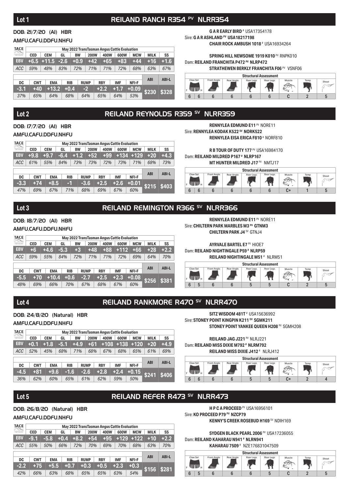#### DOB: 21/7/20 (AI) HBR

#### AMFU,CAFU,DDFU,NHFU

| TACE<br>$\begin{bmatrix} \begin{smallmatrix} 1 & 0 & 0 \\ 0 & 1 & 0 \\ 0 & 0 & 1 \end{smallmatrix} \end{bmatrix} \begin{bmatrix} \begin{smallmatrix} 1 & 0 & 0 \\ 0 & 1 & 0 \\ 0 & 0 & 1 \end{smallmatrix} \end{bmatrix}$ |            |                   |     |            |           |             |  |            |  |            | May 2022 TransTasman Angus Cattle Evaluation |  |             |              |
|---------------------------------------------------------------------------------------------------------------------------------------------------------------------------------------------------------------------------|------------|-------------------|-----|------------|-----------|-------------|--|------------|--|------------|----------------------------------------------|--|-------------|--------------|
| tamilasman Angus                                                                                                                                                                                                          | <b>CED</b> | <b>CEM</b>        | GL  |            | <b>BW</b> | <b>200W</b> |  | 400W       |  | 600W       | <b>MCW</b>                                   |  | <b>MILK</b> | SS           |
| <b>EBV</b>                                                                                                                                                                                                                |            | $+6.5$ +11.5 -2.6 |     |            | $+0.9$    | $+42$       |  | $+65$      |  | $+83$      | $+44$                                        |  | $+16$       | $+1.6$       |
| <b>ACC</b>                                                                                                                                                                                                                | 59%        | 48%               | 83% |            | 72%       | 71%         |  | 71%        |  | 72%        | 68%                                          |  | 63%         | 67%          |
|                                                                                                                                                                                                                           |            |                   |     |            |           |             |  |            |  |            |                                              |  |             |              |
| DC                                                                                                                                                                                                                        | <b>CWT</b> | <b>EMA</b>        |     | <b>RIB</b> |           | <b>RUMP</b> |  | <b>RBY</b> |  | <b>IMF</b> | NFI-F                                        |  | <b>ABI</b>  | <b>ABI-L</b> |
| $-3.1$                                                                                                                                                                                                                    | $+40$      | $+13.2$           |     | $+0.4$     |           | $-2$        |  | $+2.2$     |  | $+1.7$     | $+0.09$                                      |  | \$230       | \$328        |
| 37%                                                                                                                                                                                                                       | 65%        | 64%               |     | 68%        |           | 64%         |  | 65%        |  | 64%        | 53%                                          |  |             |              |

**G A R EARLY BIRD** # USA17354178 Sire: **G A R ASHLAND PV USA18217198 CHAIR ROCK AMBUSH 1018** # USA16934264

**SPRING HILL NEWSOME 1919 K010** PV RNPK010 Dam: **REILAND FRANCHITA P472 PV NLRP472 STRATHEWEN BERKLY FRANCHITA F06 PV VSNF06** 



### Lot 2 **REILAND REYNOLDS R359 SV NLRR359**

#### DOB: 17/7/20 (AI) HBR AMFU,CAFU,DDFU,NHFU

| TACE<br>$\left[\begin{smallmatrix} 1 & 0 & 0 \\ 0 & 0 & 1 \end{smallmatrix}\right]$ |            |            |            |           |             |            |       | May 2022 TransTasman Angus Cattle Evaluation |            |             |              |  |
|-------------------------------------------------------------------------------------|------------|------------|------------|-----------|-------------|------------|-------|----------------------------------------------|------------|-------------|--------------|--|
| <b>John Funbuntion</b>                                                              | <b>CED</b> | <b>CEM</b> | GL         | <b>BW</b> | <b>200W</b> |            | 400W  | 600W                                         | <b>MCW</b> | <b>MILK</b> | SS           |  |
| <b>EBV</b>                                                                          | $+9.8$     | $+9.7$     | $-6.4$     | $+1.2$    | $+52$       |            | $+99$ | $+134$                                       | $+129$     | $+20$       | $+4.3$       |  |
| <b>ACC</b>                                                                          | 61%        | 55%        | 84%        | 73%       | 73%         |            | 72%   | 73%                                          | 71%        | 68%         | 73%          |  |
|                                                                                     |            |            |            |           |             |            |       |                                              |            |             |              |  |
| DC                                                                                  | <b>CWT</b> | <b>EMA</b> | <b>RIB</b> |           | <b>RUMP</b> | <b>RBY</b> |       | <b>IMF</b>                                   | NFI-F      | <b>ABI</b>  | <b>ABI-L</b> |  |
| $-3.3$                                                                              | $+74$      | $+8.5$     | -1         |           | $-3.6$      | $+2.5$     |       | $+2.6$                                       | $+0.01$    | \$215       | \$403        |  |
| 47%                                                                                 | 69%        | 67%        | 71%        |           | 68%         | 69%        |       | 67%                                          | 60%        |             |              |  |

**RENNYLEA EDMUND E11<sup> PV</sup> NORE11** Sire: **RENNYLEA KODAK K522 SV NORK522 RENNYLEA EISA ERICA F810** # NORF810

**R B TOUR OF DUTY 177 PV USA16984170** Dam: **REILAND MILDRED P167 # NLRP167**

**MT HUNTER MILDRED J17 PV NMTJ17** 



#### Lot 3 **REILAND REMINGTON R366<sup>5V</sup> NLRR366**

#### DOB: 18/7/20 (AI) HBR

#### AMFU CAFU DDFU NHFU

| TACE<br>$\begin{bmatrix} \begin{bmatrix} \begin{bmatrix} 1 & 0 \\ 0 & 1 \end{bmatrix} & \begin{bmatrix} 1 & 0 \\ 0 & 1 \end{bmatrix} \end{bmatrix} \end{bmatrix} \end{bmatrix} \begin{bmatrix} \begin{bmatrix} 1 & 0 \\ 0 & 1 \end{bmatrix} & \begin{bmatrix} 1 & 0 \\ 0 & 1 \end{bmatrix} \end{bmatrix} \end{bmatrix}$ |            |            |        |            |           |             |            |       | May 2022 TransTasman Angus Cattle Evaluation |            |              |              |  |
|-------------------------------------------------------------------------------------------------------------------------------------------------------------------------------------------------------------------------------------------------------------------------------------------------------------------------|------------|------------|--------|------------|-----------|-------------|------------|-------|----------------------------------------------|------------|--------------|--------------|--|
| tamilasman Angus                                                                                                                                                                                                                                                                                                        | <b>CED</b> | <b>CEM</b> | GL     |            | <b>BW</b> | <b>200W</b> |            | 400W  | 600W                                         | <b>MCW</b> | <b>MILK</b>  | SS           |  |
| <b>EBV</b>                                                                                                                                                                                                                                                                                                              | $+6$       | $+4.6$     | $-5.3$ |            | $+3$      | $+48$       |            | $+88$ | $+112$                                       | $+66$      | $+28$        | $+2.2$       |  |
| <b>ACC</b>                                                                                                                                                                                                                                                                                                              | 59%        | 55%        | 84%    |            | 72%       | 71%         |            | 71%   | 72%                                          | 69%        | 64%          | 70%          |  |
|                                                                                                                                                                                                                                                                                                                         |            |            |        |            |           |             |            |       |                                              |            |              |              |  |
| DC                                                                                                                                                                                                                                                                                                                      | <b>CWT</b> | <b>EMA</b> |        | <b>RIB</b> |           | <b>RUMP</b> | <b>RBY</b> |       | <b>IMF</b>                                   | NFI-F      | <b>ABI</b>   | <b>ABI-L</b> |  |
| $-5.5$                                                                                                                                                                                                                                                                                                                  | $+70$      | $+10.4$    |        | $+0.6$     |           | $-2.7$      | $+2.5$     |       | $+2.3$                                       | $+0.08$    | <b>\$256</b> | \$381        |  |
| 48%                                                                                                                                                                                                                                                                                                                     | 69%        | 66%        |        | 70%        |           | 67%         | 68%        |       | 67%                                          | 60%        |              |              |  |

**RENNYLEA EDMUND E11** PV NORE11 Sire: **CHILTERN PARK MARBLES M3 PV GTNM3 CHILTERN PARK J4** SV GTNJ4

**AYRVALE BARTEL E7** PV HIOE7 Dam: **REILAND NIGHTINGALE P59 # NLRP59**

**REILAND NIGHTINGALE M51** # NLRM51



### Lot 4 **REILAND RANKMORE R470** SV NLRR470

#### DOB: 24/8/20 (Natural) HBR

#### AMFU,CAFU,DDFU,NHFU

| TACE<br>$\begin{bmatrix} \begin{smallmatrix} 1 & 0 & 0 \\ 0 & 1 & 0 \\ 0 & 0 & 1 \end{smallmatrix} \end{bmatrix} \begin{bmatrix} \begin{smallmatrix} 1 & 0 & 0 \\ 0 & 1 & 0 \\ 0 & 0 & 1 \end{smallmatrix} \end{bmatrix}$ |            | May 2022 TransTasman Angus Cattle Evaluation |        |            |             |            |            |            |             |              |  |  |  |
|---------------------------------------------------------------------------------------------------------------------------------------------------------------------------------------------------------------------------|------------|----------------------------------------------|--------|------------|-------------|------------|------------|------------|-------------|--------------|--|--|--|
| ensTateman Anger<br>Jeffer Penhaman                                                                                                                                                                                       | <b>CED</b> | <b>CEM</b>                                   | GL     | <b>BW</b>  | <b>200W</b> | 400W       | 600W       | <b>MCW</b> | <b>MILK</b> | SS           |  |  |  |
| <b>EBV</b>                                                                                                                                                                                                                | $+0.1$     | $+1.8$                                       | $-5.1$ | $+4.9$     | $+61$       | $+108$     | $+138$     | $+120$     | $+20$       | $+4.9$       |  |  |  |
| <b>ACC</b>                                                                                                                                                                                                                | 52%        | 45%                                          | 68%    | 71%        | 68%         | 67%        | 68%        | 65%        | 61%         | 69%          |  |  |  |
|                                                                                                                                                                                                                           |            |                                              |        |            |             |            |            |            |             |              |  |  |  |
| DC                                                                                                                                                                                                                        | <b>CWT</b> | <b>EMA</b>                                   |        | <b>RIB</b> | <b>RUMP</b> | <b>RBY</b> | <b>IMF</b> | NFI-F      | <b>ABI</b>  | <b>ABI-L</b> |  |  |  |
| -4.5                                                                                                                                                                                                                      | $+81$      | $+9.6$                                       |        | $-1.6$     | $-2.6$      | $+2.8$     | $+2.4$     | $+0.15$    | \$241       | \$406        |  |  |  |
| 36%                                                                                                                                                                                                                       | 62%        | 60%                                          |        | 65%        | 61%         | 62%        | 59%        | 50%        |             |              |  |  |  |

**SITZ WISDOM 481T** # USA15636992 Sire: **STONEY POINT KINGPIN K211<sup>SV</sup> SGMK211 STONEY POINT YANKEE QUEEN H208 PV SGMH208** 

**REILAND JAG J221** PV NLRJ221 Dam: **REILAND MISS DIXIE M792 # NLRM792 REILAND MISS DIXIE J412** # NLRJ412



### Lot 5 **REILAND REFER R473** SV NLRR473

#### DOB: 26/8/20 (Natural) HBR

#### AMFU,CAFU,DDFU,NHFU

| TACE<br>$\left[\left[\mathbb{P}^{\mathbb{Z}}\right]\right]$ , if |            |            |            |           |             |            | May 2022 TransTasman Angus Cattle Evaluation |            |             |              |  |  |  |  |
|------------------------------------------------------------------|------------|------------|------------|-----------|-------------|------------|----------------------------------------------|------------|-------------|--------------|--|--|--|--|
| landasman Angus<br>Cafite Peaburism                              | <b>CED</b> | <b>CEM</b> | GL         | <b>BW</b> | <b>200W</b> | 400W       | 600W                                         | <b>MCW</b> | <b>MILK</b> | SS           |  |  |  |  |
| <b>EBV</b>                                                       | $-9.1$     | $-5.8$     | $+0.4$     | $+8.2$    | $+54$       | $+95$      | $+129$                                       | $+122$     | $+10$       | $+2.2$       |  |  |  |  |
| <b>ACC</b>                                                       | 55%        | 50%        | 66%        | 72%       | 70%         | 69%        | 70%                                          | 68%        | 63%         | 70%          |  |  |  |  |
|                                                                  |            |            |            |           |             |            |                                              |            |             |              |  |  |  |  |
| <b>DC</b>                                                        | <b>CWT</b> | <b>EMA</b> | <b>RIB</b> |           | <b>RUMP</b> | <b>RBY</b> | <b>IMF</b>                                   | NFI-F      | <b>ABI</b>  | <b>ABI-L</b> |  |  |  |  |
| $-2.2$                                                           | $+75$      | $+5.5$     | $+0.7$     |           | $+0.3$      | $+0.5$     | $+2.3$                                       | $+0.3$     | \$156       | \$281        |  |  |  |  |
| 42%                                                              | 66%        | 63%        | 68%        |           | 65%         | 65%        | 63%                                          | 54%        |             |              |  |  |  |  |

**H P C A PROCEED** PV USA16956101 Sire: **KO PROCEED P79 PV NZCP79 KENNY'S CREEK ROSEBUD H169** SV NDIH169

**SYDGEN BLACK PEARL 2006 PV USA17236055** Dam: **REILAND KAHARAU N941 # NLRN941**



### Lot 1 **REILAND RANCH R354 PV NLRR354**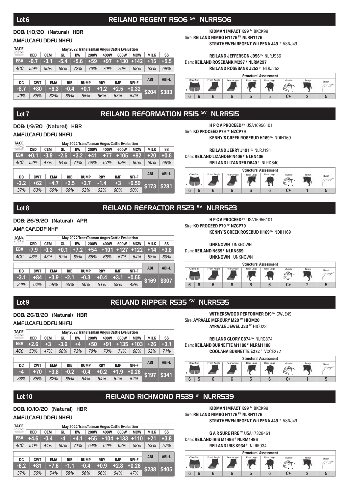### Lot 6 **REILAND REGENT R506<sup>SV</sup> NLRR506**

#### DOB: 1/10/20 (Natural) HBR

#### AMFU,CAFU,DDFU,NHFU

| TACE<br>$\begin{bmatrix} \begin{smallmatrix} 1 & 0 & 0 \\ 0 & 1 & 0 \\ 0 & 0 & 1 \end{smallmatrix} \end{bmatrix} \begin{bmatrix} \begin{smallmatrix} 1 & 0 & 0 \\ 0 & 1 & 0 \\ 0 & 0 & 1 \end{smallmatrix} \end{bmatrix}$ |            |            |        |            |           |             |            | May 2022 TransTasman Angus Cattle Evaluation |            |             |              |
|---------------------------------------------------------------------------------------------------------------------------------------------------------------------------------------------------------------------------|------------|------------|--------|------------|-----------|-------------|------------|----------------------------------------------|------------|-------------|--------------|
| ansTaraman Angus<br>Cofite Penhaman                                                                                                                                                                                       | <b>CED</b> | <b>CEM</b> | GL     |            | <b>BW</b> | <b>200W</b> | 400W       | 600W                                         | <b>MCW</b> | <b>MILK</b> | SS           |
| <b>EBV</b>                                                                                                                                                                                                                | $-0.7$     | -3.1       | $-5.4$ |            | $+5.6$    | $+59$       | +97        | $+130$                                       | $+142$     | $+15$       | $+5.5$       |
| <b>ACC</b>                                                                                                                                                                                                                | 55%        | 50%        | 69%    |            | 72%       | 70%         | 70%        | 70%                                          | 68%        | 63%         | 69%          |
|                                                                                                                                                                                                                           |            |            |        |            |           |             |            |                                              |            |             |              |
| DC                                                                                                                                                                                                                        | <b>CWT</b> | <b>EMA</b> |        | <b>RIB</b> |           | <b>RUMP</b> | <b>RBY</b> | <b>IMF</b>                                   | NFI-F      | <b>ABI</b>  | <b>ABI-L</b> |
| $-8.7$                                                                                                                                                                                                                    | $+80$      | $+6.3$     |        | $-0.4$     |           | $+0.1$      | $+1.2$     | $+2.5$                                       | $+0.32$    | \$204       | \$383        |
| 40%                                                                                                                                                                                                                       | 66%        | 62%        |        | 69%        |           | 65%         | 66%        | 63%                                          | 54%        |             |              |

**KIDMAN IMPACT K99 SV BKCK99** Sire: **REILAND NIMBO N1176 PV NLRN1176 STRATHEWEN REGENT WILPENA J49** PV VSNJ49

#### **REILAND JEFFERSON J956** PV NLRJ956 Dam: **REILAND ROSEBANK M297 # NLRM297**





### Lot 7 **REILAND REFORMATION R515** SV NLRR515

DOB: 1/9/20 (Natural) HBR AMFU,CAFU,DDFU,NHFU

| TACE<br>$\left[\left[\begin{smallmatrix} 1 & 0 \\ 0 & 1 \end{smallmatrix}\right], \left[\begin{smallmatrix} 1 & 0 \\ 0 & 1 \end{smallmatrix}\right]\right]$ |            |            |            |           |             |            | May 2022 TransTasman Angus Cattle Evaluation |            |             |              |  |  |
|-------------------------------------------------------------------------------------------------------------------------------------------------------------|------------|------------|------------|-----------|-------------|------------|----------------------------------------------|------------|-------------|--------------|--|--|
| uesTauman Angus<br>Califa Peabuatan                                                                                                                         | <b>CED</b> | <b>CEM</b> | GL         | <b>BW</b> | <b>200W</b> | 400W       | 600W                                         | <b>MCW</b> | <b>MILK</b> | SS           |  |  |
| <b>EBV</b>                                                                                                                                                  | $+0.1$     | -3.9       | $-2.5$     | $+3.2$    | +41         | $+77$      | $+105$                                       | $+82$      | $+20$       | $+0.6$       |  |  |
| <b>ACC</b>                                                                                                                                                  | 52%        | 47%        | 64%        | 71%       | 68%         | 67%        | 69%                                          | 66%        | 60%         | 68%          |  |  |
|                                                                                                                                                             |            |            |            |           |             |            |                                              |            |             |              |  |  |
| <b>DC</b>                                                                                                                                                   | <b>CWT</b> | <b>EMA</b> | <b>RIB</b> |           | <b>RUMP</b> | <b>RBY</b> | <b>IMF</b>                                   | NFI-F      | <b>ABI</b>  | <b>ABI-L</b> |  |  |
| $-2.2$                                                                                                                                                      | $+62$      | $+4.7$     | $+2.5$     |           | $+2.7$      | $-1.4$     | $+3$                                         | $+0.59$    |             | \$281        |  |  |
| 37%                                                                                                                                                         | 63%        | 60%        | 66%        |           | 62%         | 62%        | 60%                                          | 50%        | \$173       |              |  |  |

**H P C A PROCEED** PV USA16956101 Sire: **KO PROCEED P79 PV NZCP79 KENNY'S CREEK ROSEBUD H169** SV NDIH169

**REILAND JERRY J191** SV NLRJ191 Dam: **REILAND LIZANDER N406 # NLRN406**

**REILAND LIZANDER D640** # NLRD640



#### Lot 8 **REILAND REFRACTOR R523** SV NURR523

#### DOB: 26/9/20 (Natural) APR

#### AMF CAF DDF NHF

| <b>TACE</b><br>$\mathbb{P}[\mathbb{Q}]$ | May 2022 TransTasman Angus Cattle Evaluation |            |        |            |             |            |        |            |             |             |              |  |  |  |
|-----------------------------------------|----------------------------------------------|------------|--------|------------|-------------|------------|--------|------------|-------------|-------------|--------------|--|--|--|
| uesTauman Angus<br>Califa Peabuatan     | <b>CED</b>                                   | <b>CEM</b> | GL     | <b>BW</b>  | <b>200W</b> |            | 400W   | 600W       | <b>MCW</b>  | <b>MILK</b> | SS           |  |  |  |
| <b>EBV</b>                              | $-7.9$                                       | $-0.3$     | $+0.1$ | $+7.2$     | $+54$       |            | $+101$ |            | $+127$ +122 | $+14$       | $+3.8$       |  |  |  |
| <b>ACC</b>                              | 48%                                          | 43%        | 62%    | 68%        | 66%         |            | 66%    | 67%        | 64%         | 58%         | 60%          |  |  |  |
|                                         |                                              |            |        |            |             |            |        |            |             |             |              |  |  |  |
| DC                                      | <b>CWT</b>                                   | <b>EMA</b> |        | <b>RIB</b> | <b>RUMP</b> | <b>RBY</b> |        | <b>IMF</b> | NFI-F       | <b>ABI</b>  | <b>ABI-L</b> |  |  |  |
| $-3.1$                                  | +84                                          | $+3.9$     |        | $-2.1$     | $-0.3$      | $+0.4$     |        | $+3.1$     | $+0.55$     | \$169       | \$307        |  |  |  |
| 34%                                     | 62%                                          | 58%        |        | 65%        | 60%         | 61%        |        | 59%        | 49%         |             |              |  |  |  |

**H P C A PROCEED** PV USA16956101 Sire: **KO PROCEED P79 PV NZCP79 KENNY'S CREEK ROSEBUD H169 SV NDIH169** 

**UNKNOWN** UNKNOWN

Dam: **REILAND N669 # NLRN669**

Sire: **AYRVALE MERCURY M20 PV HIOM20**

Dam: **REILAND BURNETTE M1188 # NLRM1188**



**WITHERSWOOD PERFORMER E49 SV CWJE49** 

**AYRVALE JEWEL J23** PV HIOJ23

**REILAND GLORY G874** SV NLRG874

6 6 6 6 6 6 C+ 2 5 F **H** Front Angle Rear Angle Rear Legs Rear Legs Muscle Temp Sheat

### Lot 9 **REILAND RIPPER R535** SV NLRR535

DOB: 26/8/20 (Natural) HBR

#### AMFU,CAFU,DDFU,NHFU

| TACE<br>$\begin{bmatrix} \begin{bmatrix} \begin{bmatrix} 1 & 0 \\ 0 & 1 \end{bmatrix} & \begin{bmatrix} 1 & 0 \\ 0 & 1 \end{bmatrix} \end{bmatrix} \end{bmatrix} \end{bmatrix} \begin{bmatrix} \begin{bmatrix} 1 & 0 \\ 0 & 1 \end{bmatrix} & \begin{bmatrix} 1 & 0 \\ 0 & 1 \end{bmatrix} \end{bmatrix} \end{bmatrix}$ |            |            |        |            |             |            |       | May 2022 TransTasman Angus Cattle Evaluation |             |             |              |  |  |
|-------------------------------------------------------------------------------------------------------------------------------------------------------------------------------------------------------------------------------------------------------------------------------------------------------------------------|------------|------------|--------|------------|-------------|------------|-------|----------------------------------------------|-------------|-------------|--------------|--|--|
| kansTaraman Angus                                                                                                                                                                                                                                                                                                       | <b>CED</b> | <b>CEM</b> | GL     | <b>BW</b>  | <b>200W</b> |            | 400W  | 600W                                         | <b>MCW</b>  | <b>MILK</b> | SS           |  |  |
| EBV                                                                                                                                                                                                                                                                                                                     | $+2.6$     | $+3$       | $-3.6$ | +4         | $+50$       |            | $+91$ |                                              | $+135$ +103 | $+26$       | $+3.1$       |  |  |
| <b>ACC</b>                                                                                                                                                                                                                                                                                                              | 53%        | 47%        | 68%    | 73%        | 70%         |            | 70%   | 71%                                          | 68%         | 62%         | 71%          |  |  |
|                                                                                                                                                                                                                                                                                                                         |            |            |        |            |             |            |       |                                              |             |             |              |  |  |
| DC                                                                                                                                                                                                                                                                                                                      | <b>CWT</b> | <b>EMA</b> |        | <b>RIB</b> | <b>RUMP</b> | <b>RBY</b> |       | <b>IMF</b>                                   | NFI-F       | <b>ABI</b>  | <b>ABI-L</b> |  |  |
| -4                                                                                                                                                                                                                                                                                                                      | $+70$      | $+3.8$     |        | $-0.2$     | $-0.4$      | $+0.2$     |       | $+1.9$                                       | $+0.26$     |             | \$341        |  |  |
| 38%                                                                                                                                                                                                                                                                                                                     | 65%        | 62%        |        | 68%        | 64%         | 64%        |       | 62%                                          | 52%         | \$197       |              |  |  |



### Lot 10 **REILAND RICHMOND R539** # NLRR539

#### DOB: 10/10/20 (Natural) HBR

#### AMFU,CAFU,DDFU,NHFU

| TACE<br>$\begin{bmatrix} \begin{bmatrix} 1 & 0 \\ 0 & 1 \end{bmatrix} & \begin{bmatrix} 1 & 0 \\ 0 & 1 \end{bmatrix} \end{bmatrix}$ |            |            |     |            |             |            | May 2022 TransTasman Angus Cattle Evaluation |            |             |              |  |  |  |  |
|-------------------------------------------------------------------------------------------------------------------------------------|------------|------------|-----|------------|-------------|------------|----------------------------------------------|------------|-------------|--------------|--|--|--|--|
| uesTauman Angus<br>Califa Penhamin                                                                                                  | <b>CED</b> | <b>CEM</b> | GL  | <b>BW</b>  | <b>200W</b> | 400W       | 600W                                         | <b>MCW</b> | <b>MILK</b> | SS           |  |  |  |  |
| <b>EBV</b>                                                                                                                          | $+4.6$     | $-0.4$     | -4  | $+4.1$     | $+55$       | $+104$     | $+133$                                       | $+110$     | $+21$       | $+3.8$       |  |  |  |  |
| <b>ACC</b>                                                                                                                          | 51%        | 44%        | 60% | 71%        | 64%         | 64%        | 62%                                          | 58%        | 53%         | 57%          |  |  |  |  |
|                                                                                                                                     |            |            |     |            |             |            |                                              |            |             |              |  |  |  |  |
| DC                                                                                                                                  | <b>CWT</b> | <b>EMA</b> |     | <b>RIB</b> | <b>RUMP</b> | <b>RBY</b> | <b>IMF</b>                                   | NFI-F      | <b>ABI</b>  | <b>ABI-L</b> |  |  |  |  |
| $-6.2$                                                                                                                              | $+81$      | $+7.6$     |     | $-1.1$     | $-0.4$      | $+0.9$     | $+2.8$                                       | $+0.26$    | \$238       | <b>\$405</b> |  |  |  |  |
| 37%                                                                                                                                 | 56%        | 54%        |     | 58%        | 56%         | 56%        | 54%                                          | 47%        |             |              |  |  |  |  |

Sire: **REILAND NIMBO N1176 PV NLRN1176 STRATHEWEN REGENT WILPENA J49 PV VSNJ49** 

**KIDMAN IMPACT K99** SV BKCK99

**G A R SURE FIRE** SV USA17328461

Dam: **REILAND IRIS M1496 # NLRM1496**



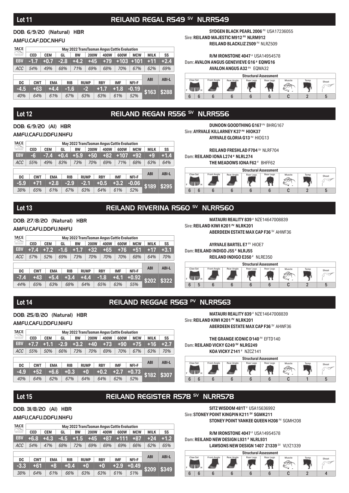### Lot 11 **REILAND REGAL R549<sup> SV</sup> NLRR549**

#### DOB: 6/9/20 (Natural) HBR

#### AMFU,CAF,DDC,NHFU

| <b>TACE</b><br>$\begin{bmatrix} \begin{smallmatrix} 1 & 0 & 0 \\ 0 & 1 & 0 \\ 0 & 0 & 1 \end{smallmatrix} \end{bmatrix} \begin{bmatrix} \begin{smallmatrix} 1 & 0 & 0 \\ 0 & 1 & 0 \\ 0 & 0 & 1 \end{smallmatrix} \end{bmatrix}$ |            |            |        |            |             |            | May 2022 TransTasman Angus Cattle Evaluation |            |             |              |
|----------------------------------------------------------------------------------------------------------------------------------------------------------------------------------------------------------------------------------|------------|------------|--------|------------|-------------|------------|----------------------------------------------|------------|-------------|--------------|
| <b>SunsTateman Angus</b><br>Cabbe Peabuation                                                                                                                                                                                     | <b>CED</b> | <b>CEM</b> | GL     | <b>BW</b>  | <b>200W</b> | 400W       | 600W                                         | <b>MCW</b> | <b>MILK</b> | SS           |
| <b>EBV</b>                                                                                                                                                                                                                       | $-1.7$     | $+0.7$     | $-2.8$ | $+4.2$     | $+45$       | $+79$      | $+103$                                       | $+101$     | $+11$       | $+2.4$       |
| <b>ACC</b>                                                                                                                                                                                                                       | 54%        | 49%        | 68%    | 71%        | 69%         | 68%        | 70%                                          | 67%        | 62%         | 69%          |
|                                                                                                                                                                                                                                  |            |            |        |            |             |            |                                              |            |             |              |
|                                                                                                                                                                                                                                  |            |            |        |            |             |            |                                              |            | <b>ABI</b>  | <b>ABI-L</b> |
| DC                                                                                                                                                                                                                               | <b>CWT</b> | <b>EMA</b> |        | <b>RIB</b> | <b>RUMP</b> | <b>RBY</b> | <b>IMF</b>                                   | NFI-F      |             |              |
| $-4.5$                                                                                                                                                                                                                           | $+63$      | $+4.4$     |        | $-1.6$     | $-2$        | $+1.7$     | $+1.8$                                       | $-0.19$    | \$163       | \$288        |
| 40%                                                                                                                                                                                                                              | 64%        | 61%        |        | 67%        | 63%         | 63%        | 61%                                          | 52%        |             |              |

**SYDGEN BLACK PEARL 2006 PV USA17236055** Sire: **REILAND MAJESTIC M912 PV NLRM912 REILAND BLACKLIZ Z509** PV NLRZ509

#### **R/M IRONSTONE 4047** # USA14954578 Dam: **AVALON ANGUS GENEVIEVE G16 # EQWG16**

### **AVALON ANGUS A32** PV EQWA32



### Lot 12 **REILAND REGAN R556 SV NLRR556**

DOB: 6/9/20 (AI) HBR AMFU,CAFU,DDFU,NHFU

| <b>TACE</b><br>$\begin{bmatrix} \begin{bmatrix} 1 & 0 & 0 \\ 0 & 0 & 0 \\ 0 & 0 & 0 \end{bmatrix} \end{bmatrix} \begin{bmatrix} \begin{bmatrix} 1 & 0 & 0 \\ 0 & 1 & 0 \\ 0 & 0 & 0 \end{bmatrix} \end{bmatrix}$ |            |            |            |           |             |            | May 2022 TransTasman Angus Cattle Evaluation |            |             |              |  |  |  |
|------------------------------------------------------------------------------------------------------------------------------------------------------------------------------------------------------------------|------------|------------|------------|-----------|-------------|------------|----------------------------------------------|------------|-------------|--------------|--|--|--|
| uesTauman Angus<br>Califa Peabuatan                                                                                                                                                                              | <b>CED</b> | <b>CEM</b> | GL         | <b>BW</b> | <b>200W</b> | 400W       | 600W                                         | <b>MCW</b> | <b>MILK</b> | SS           |  |  |  |
| <b>EBV</b>                                                                                                                                                                                                       | $-6$       | $-7.4$     | $+0.4$     | $+5.9$    | $+50$       | +82        | $+107$                                       | $+92$      | $+9$        | $+1.4$       |  |  |  |
| <b>ACC</b>                                                                                                                                                                                                       | 55%        | 49%        | 83%        | 73%       | 70%         | 69%        | 71%                                          | 68%        | 63%         | 64%          |  |  |  |
|                                                                                                                                                                                                                  |            |            |            |           |             |            |                                              |            |             |              |  |  |  |
| DC                                                                                                                                                                                                               | <b>CWT</b> | <b>EMA</b> | <b>RIB</b> |           | <b>RUMP</b> | <b>RBY</b> | <b>IMF</b>                                   | NFI-F      | <b>ABI</b>  | <b>ABI-L</b> |  |  |  |
| $-5.9$                                                                                                                                                                                                           | $+71$      | $+2.8$     | $-2.9$     |           | $-2.1$      | $+0.5$     | $+3.2$                                       | $-0.06$    |             |              |  |  |  |
| 38%                                                                                                                                                                                                              | 65%        | 61%        | 67%        |           | 63%         | 64%        | 61%                                          | 52%        | \$189       | \$295        |  |  |  |

**DUNOON GOODTHING G167 PV BHRG167** Sire: **AYRVALE KILLARNEY K37 PV HIOK37 AYRVALE GLORIA G13** PV HIOG13

**REILAND FRESHLAD F704** SV NLRF704 Dam: **REILAND IONA L274 # NLRL274**

**THE MEADOWS IONA F62** # BHFF62



#### Lot 13 **REILAND RIVERINA R560<sup> SV</sup> NLRR560**

DOB: 27/8/20 (Natural) HBR AMFU,CAFU,DDFU,NHFU

| TACE<br>$\begin{bmatrix} \begin{bmatrix} 1 & 0 & 0 \\ 0 & 0 & 0 \\ 0 & 0 & 0 \end{bmatrix} \end{bmatrix} \begin{bmatrix} \begin{bmatrix} 1 & 0 & 0 \\ 0 & 1 & 0 \\ 0 & 0 & 0 \end{bmatrix} \end{bmatrix}$ |            | May 2022 TransTasman Angus Cattle Evaluation |            |           |             |            |            |            |             |              |  |  |  |  |
|-----------------------------------------------------------------------------------------------------------------------------------------------------------------------------------------------------------|------------|----------------------------------------------|------------|-----------|-------------|------------|------------|------------|-------------|--------------|--|--|--|--|
| ansTaraman Angus<br>Cofite Penhaman                                                                                                                                                                       | <b>CED</b> | <b>CEM</b>                                   | GL         | <b>BW</b> | <b>200W</b> | 400W       | 600W       | <b>MCW</b> | <b>MILK</b> | SS           |  |  |  |  |
| <b>EBV</b>                                                                                                                                                                                                | $+7.4$     | $+7.2$                                       | $-1.6$     | $+1.7$    | $+32$       | $+65$      | $+76$      | $+51$      | $+17$       | $+3.1$       |  |  |  |  |
| <b>ACC</b>                                                                                                                                                                                                | 57%        | 52%                                          | 69%        | 73%       | 70%         | 70%        | 70%        | 68%        | 64%         | 70%          |  |  |  |  |
|                                                                                                                                                                                                           |            |                                              |            |           |             |            |            |            |             |              |  |  |  |  |
| DC                                                                                                                                                                                                        | <b>CWT</b> | <b>EMA</b>                                   | <b>RIB</b> |           | <b>RUMP</b> | <b>RBY</b> | <b>IMF</b> | NFI-F      | <b>ABI</b>  | <b>ABI-L</b> |  |  |  |  |
| $-7.4$                                                                                                                                                                                                    | $+43$      | $+5.4$                                       |            | $+3.4$    | $+4.4$      | $-1.8$     | $+4.1$     | $+0.92$    | \$202       | \$322        |  |  |  |  |
| 44%                                                                                                                                                                                                       | 65%        | 63%                                          | 68%        |           | 64%         | 65%        | 63%        | 55%        |             |              |  |  |  |  |

**MATAURI REALITY 839** # NZE14647008839 Sire: **REILAND KIWI K201<sup>PV</sup> NLRK201** 

**ABERDEEN ESTATE MAX CAP F36 SV AHWF36** 

**AYRVALE BARTEL E7** PV HIOE7 Dam: **REILAND INDIGO J55 # NLRJ55**

**REILAND INDIGO E350** # NLRE350



### Lot 14 **REILAND REGGAE R563 PV NLRR563**

DOB: 25/8/20 (Natural) HBR

#### AMFU,CAFU,DDFU,NHFU

| TACE<br>$\begin{bmatrix} \begin{bmatrix} 1 & 0 & 0 \\ 0 & 0 & 0 \\ 0 & 0 & 0 \end{bmatrix} \end{bmatrix} \begin{bmatrix} \begin{bmatrix} 1 & 0 & 0 \\ 0 & 1 & 0 \\ 0 & 0 & 0 \end{bmatrix} \end{bmatrix}$ |            |            |        |            |             | May 2022 TransTasman Angus Cattle Evaluation |            |            |             |              |  |  |
|-----------------------------------------------------------------------------------------------------------------------------------------------------------------------------------------------------------|------------|------------|--------|------------|-------------|----------------------------------------------|------------|------------|-------------|--------------|--|--|
| kansTaraman Angus                                                                                                                                                                                         | <b>CED</b> | <b>CEM</b> | GL     | <b>BW</b>  | <b>200W</b> | 400W                                         | 600W       | <b>MCW</b> | <b>MILK</b> | SS           |  |  |
| EBV                                                                                                                                                                                                       | $+7.7$     | $+1.1$     | $-2.9$ | $+3.2$     | $+40$       | $+73$                                        | $+90$      | $+75$      | $+16$       | $+2.7$       |  |  |
| <b>ACC</b>                                                                                                                                                                                                | 55%        | 50%        | 66%    | 73%        | 70%         | 69%                                          | 70%        | 67%        | 63%         | 70%          |  |  |
|                                                                                                                                                                                                           |            |            |        |            |             |                                              |            |            |             |              |  |  |
| DC                                                                                                                                                                                                        | <b>CWT</b> | <b>EMA</b> |        | <b>RIB</b> | <b>RUMP</b> | <b>RBY</b>                                   | <b>IMF</b> | NFI-F      | <b>ABI</b>  | <b>ABI-L</b> |  |  |
| $-4.9$                                                                                                                                                                                                    | $+52$      | $+6.6$     |        | $+0.3$     | $+0$        | $+0.2$                                       | $+2.7$     | $+0.73$    | \$182       | \$307        |  |  |
| 40%                                                                                                                                                                                                       | 64%        | 62%        |        | 67%        | 64%         | 64%                                          | 62%        | 52%        |             |              |  |  |

**MATAURI REALITY 839** # NZE14647008839 Sire: **REILAND KIWI K201 PV NLRK201 ABERDEEN ESTATE MAX CAP F36** SV AHWF36

**THE GRANGE ICONIC D140** PV EFTD140 Dam: **REILAND VICKY G249 SV NLRG249 KOA VICKY Z141** # NZCZ141



### Lot 15 **REILAND REGISTER R578 SV NLRR578**

#### DOB: 31/8/20 (AI) HBR

#### AMFU,CAFU,DDFU,NHFU

| TACE<br>$\begin{bmatrix} \begin{bmatrix} 1 & 0 & 0 \\ 0 & 0 & 0 \\ 0 & 0 & 0 \end{bmatrix} \end{bmatrix} \begin{bmatrix} \begin{bmatrix} 1 & 0 & 0 \\ 0 & 1 & 0 \\ 0 & 0 & 0 \end{bmatrix} \end{bmatrix}$ |            |            |        |            |             |            | May 2022 TransTasman Angus Cattle Evaluation |            |             |              |  |  |  |
|-----------------------------------------------------------------------------------------------------------------------------------------------------------------------------------------------------------|------------|------------|--------|------------|-------------|------------|----------------------------------------------|------------|-------------|--------------|--|--|--|
| uesTaurran Angus<br>Califa Evaluation                                                                                                                                                                     | <b>CED</b> | <b>CEM</b> | GL     | <b>BW</b>  | <b>200W</b> | 400W       | 600W                                         | <b>MCW</b> | <b>MILK</b> | SS           |  |  |  |
| <b>EBV</b>                                                                                                                                                                                                | $+6.8$     | $+4.3$     | $-4.5$ | $+1.5$     | $+45$       | $+87$      | $+111$                                       | $+87$      | $+24$       | $+1.2$       |  |  |  |
| <b>ACC</b>                                                                                                                                                                                                | 54%        | 47%        | 68%    | 72%        | 69%         | 69%        | 69%                                          | 66%        | 62%         | 65%          |  |  |  |
|                                                                                                                                                                                                           |            |            |        |            |             |            |                                              |            |             |              |  |  |  |
| DC                                                                                                                                                                                                        | <b>CWT</b> | <b>EMA</b> |        | <b>RIB</b> | <b>RUMP</b> | <b>RBY</b> | <b>IMF</b>                                   | NFI-F      | <b>ABI</b>  | <b>ABI-L</b> |  |  |  |
| $-3.3$                                                                                                                                                                                                    | $+61$      | $+8$       |        | $+0.4$     | $+0$        | $+0$       | $+2.9$                                       | $+0.49$    | \$209       | \$349        |  |  |  |
| 38%                                                                                                                                                                                                       | 64%        | 61%        |        | 66%        | 63%         | 63%        | 61%                                          | 51%        |             |              |  |  |  |

**SITZ WISDOM 481T** # USA15636992 Sire: **STONEY POINT KINGPIN K211 SV SGMK211 STONEY POINT YANKEE QUEEN H208** PV SGMH208

**R/M IRONSTONE 4047** # USA14954578

Dam: **REILAND NEW DESIGN L931 # NLRL931**

**LAWSONS NEW DESIGN 1407 Z1339 SV VLYZ1339** 

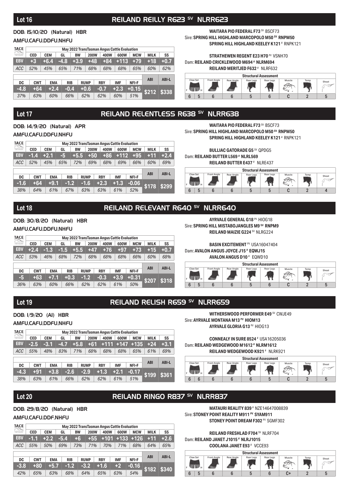### **Lot 16 REILAND REILLY R623** SV **NLRR623**

#### DOB: 15/10/20 (Natural) HBR

#### AMFU,CAFU,DDFU,NHFU

| TACE<br>$\begin{bmatrix} \begin{smallmatrix} 1 & 0 & 0 \\ 0 & 1 & 0 \\ 0 & 0 & 1 \end{smallmatrix} \end{bmatrix} \begin{bmatrix} \begin{smallmatrix} 1 & 0 & 0 \\ 0 & 1 & 0 \\ 0 & 0 & 1 \end{smallmatrix} \end{bmatrix}$ | May 2022 TransTasman Angus Cattle Evaluation |            |        |            |             |             |            |            |  |            |             |              |  |
|---------------------------------------------------------------------------------------------------------------------------------------------------------------------------------------------------------------------------|----------------------------------------------|------------|--------|------------|-------------|-------------|------------|------------|--|------------|-------------|--------------|--|
| ansTaraman Angus<br>Colitie Evaluation                                                                                                                                                                                    | <b>CED</b>                                   | <b>CEM</b> | GL     |            | <b>BW</b>   | <b>200W</b> | 400W       | 600W       |  | <b>MCW</b> | <b>MILK</b> | SS           |  |
| <b>EBV</b>                                                                                                                                                                                                                | $+3$                                         | $+6.4$     | $-4.8$ |            | $+3.9$      | $+48$       | $+84$      | $+113$     |  | $+79$      | $+18$       | $+0.7$       |  |
| <b>ACC</b>                                                                                                                                                                                                                | 52%                                          | 45%        | 65%    | 71%        |             | 68%         | 68%        | 68%        |  | 65%        | 60%         | 62%          |  |
|                                                                                                                                                                                                                           |                                              |            |        |            |             |             |            |            |  |            |             |              |  |
| DC                                                                                                                                                                                                                        | <b>CWT</b>                                   | <b>EMA</b> |        | <b>RIB</b> | <b>RUMP</b> |             | <b>RBY</b> | <b>IMF</b> |  | NFI-F      | <b>ABI</b>  | <b>ABI-L</b> |  |
| $-4.8$                                                                                                                                                                                                                    | $+64$                                        | $+2.4$     |        | $-0.4$     | $+0.6$      |             | $-0.7$     | $+2.3$     |  | $+0.15$    | \$212       | \$338        |  |
| 37%                                                                                                                                                                                                                       | 63%                                          | 60%        |        | 66%        | 62%         |             | 62%        | 60%        |  | 51%        |             |              |  |

#### **WAITARA PIO FEDERAL F73** SV BSCF73 Sire: **SPRING HILL HIGHLAND MARCOPOLO M50 SV RNPM50 SPRING HILL HIGHLAND KEELEY K121** # RNPK121

#### **STRATHEWEN REGENT E23 H70 PV VSNH70** Dam: **REILAND CRICKLEWOOD M694 # NLRM694**

**REILAND MERITJED F632** # NLRF632



### Lot 17 **REILAND RELENTLESS R638 SV NLRR638**

DOB: 14/9/20 (Natural) APR AMFU,CAFU,DDFU,NHFU

| TACE<br>$\begin{bmatrix} \begin{bmatrix} \begin{bmatrix} 1 & 0 \\ 0 & 1 \end{bmatrix} & \begin{bmatrix} 1 & 0 \\ 0 & 1 \end{bmatrix} \end{bmatrix} \end{bmatrix} \end{bmatrix} \begin{bmatrix} \begin{bmatrix} 1 & 0 \\ 0 & 1 \end{bmatrix} & \begin{bmatrix} 1 & 0 \\ 0 & 1 \end{bmatrix} \end{bmatrix} \end{bmatrix}$ |            |            |        |            |             | May 2022 TransTasman Angus Cattle Evaluation |            |        |            |             |              |  |
|-------------------------------------------------------------------------------------------------------------------------------------------------------------------------------------------------------------------------------------------------------------------------------------------------------------------------|------------|------------|--------|------------|-------------|----------------------------------------------|------------|--------|------------|-------------|--------------|--|
| ansTaraman Angus<br>Cofite Penhaman                                                                                                                                                                                                                                                                                     | <b>CED</b> | <b>CEM</b> | GL     | <b>BW</b>  | <b>200W</b> | 400W                                         |            | 600W   | <b>MCW</b> | <b>MILK</b> | SS           |  |
| <b>EBV</b>                                                                                                                                                                                                                                                                                                              | $-1.4$     | $-12.1$    | -5     | $+5.5$     | $+50$       | $+86$                                        |            | $+112$ | $+95$      | $+11$       | $+2.4$       |  |
| <b>ACC</b>                                                                                                                                                                                                                                                                                                              | 52%        | 45%        | 65%    |            | 69%         | 68%                                          |            | 69%    | 66%        | 60%         | 69%          |  |
|                                                                                                                                                                                                                                                                                                                         |            |            |        |            |             |                                              |            |        |            |             |              |  |
| DC                                                                                                                                                                                                                                                                                                                      | <b>CWT</b> | <b>EMA</b> |        | <b>RIB</b> | <b>RUMP</b> | <b>RBY</b>                                   | <b>IMF</b> |        | NFI-F      | <b>ABI</b>  | <b>ABI-L</b> |  |
| $-1.6$                                                                                                                                                                                                                                                                                                                  | $+64$      | $+9.1$     | $-1.2$ |            | $-1.6$      | $+2.3$                                       | $+1.3$     |        | $-0.06$    | \$178       | \$299        |  |
| 38%                                                                                                                                                                                                                                                                                                                     | 64%        | 61%        |        | 67%        | 63%         | 63%                                          | 61%        |        | 52%        |             |              |  |

**WAITARA PIO FEDERAL F73** SV BSCF73 Sire: **SPRING HILL HIGHLAND MARCOPOLO M50 SV RNPM50 SPRING HILL HIGHLAND KEELEY K121** # RNPK121

**BULLIAC GATORADE G5** SV QPDG5 Dam: **REILAND BUTTER L569 # NLRL569**

**REILAND BUTTER E437** # NLRE437



#### Lot 18 **REILAND RELEVANT R640<sup>SV</sup> NLRR640**

DOB: 30/8/20 (Natural) HBR AMFU,CAFU,DDFU,NHFU

| <b>TACE</b>      |            | May 2022 TransTasman Angus Cattle Evaluation |      |            |             |            |            |            |             |              |  |  |  |  |  |
|------------------|------------|----------------------------------------------|------|------------|-------------|------------|------------|------------|-------------|--------------|--|--|--|--|--|
| tamilasman Angus | <b>CED</b> | <b>CEM</b>                                   | GL   | <b>BW</b>  | <b>200W</b> | 400W       | 600W       | <b>MCW</b> | <b>MILK</b> | SS           |  |  |  |  |  |
| EBV              | $+2.4$     | $-1.3$                                       | -1.5 | $+5.5$     | $+47$       | $+76$      | $+97$      | $+73$      | $+15$       | $+0.7$       |  |  |  |  |  |
| ACC              | 53%        | 46%                                          | 68%  | 72%        | 68%         | 68%        | 68%        | 66%        | 60%         | 68%          |  |  |  |  |  |
|                  |            |                                              |      |            |             |            |            |            |             |              |  |  |  |  |  |
| DC               | <b>CWT</b> | <b>EMA</b>                                   |      | <b>RIB</b> | <b>RUMP</b> | <b>RBY</b> | <b>IMF</b> | NFI-F      | <b>ABI</b>  | <b>ABI-L</b> |  |  |  |  |  |
| -5               | $+63$      | $+7.1$                                       |      | $+0.3$     | $-1.2$      | $-0.3$     | $+3.9$     | $+0.31$    | \$207       | \$318        |  |  |  |  |  |
| 36%              | 63%        | 60%                                          |      | 66%        | 62%         | 62%        | 61%        | 50%        |             |              |  |  |  |  |  |

**AYRVALE GENERAL G18 PV HIOG18** Sire: **SPRING HILL MISTABOJANGLES M9 SV RNPM9 REILAND MAIZIE G224** SV NLRG224

**BASIN EXCITEMENT <sup>PV</sup> USA16047404** Dam: **AVALON ANGUS JOYCE J15 # EQWJ15**



### Lot 19 **REILAND RELISH R659 SV NLRR659**

#### DOB: 1/9/20 (AI) HBR

AMFU,CAFU,DDFU,NHFU

| TACE<br>$\begin{bmatrix} \begin{bmatrix} 1 & 0 & 0 \\ 0 & 0 & 0 \\ 0 & 0 & 0 \end{bmatrix} \end{bmatrix} \begin{bmatrix} \begin{bmatrix} 1 & 0 & 0 \\ 0 & 1 & 0 \\ 0 & 0 & 0 \end{bmatrix} \end{bmatrix}$ |            |            |            |           |             |            | May 2022 TransTasman Angus Cattle Evaluation |            |             |              |  |  |
|-----------------------------------------------------------------------------------------------------------------------------------------------------------------------------------------------------------|------------|------------|------------|-----------|-------------|------------|----------------------------------------------|------------|-------------|--------------|--|--|
| uesTauman Angus<br>Califa Penhaman                                                                                                                                                                        | <b>CED</b> | <b>CEM</b> | GL         | <b>BW</b> | <b>200W</b> | 400W       | 600W                                         | <b>MCW</b> | <b>MILK</b> | SS           |  |  |
| <b>EBV</b>                                                                                                                                                                                                | $-2.5$     | -3.1       | $-4.7$     | $+5.8$    | $+61$       | $+111.$    | $+147$                                       | $+135$     | $+24$       | $+3.1$       |  |  |
| <b>ACC</b>                                                                                                                                                                                                | 55%        | 48%        | 83%        | 71%       | 68%         | 68%        | 68%                                          | 65%        | 61%         | 69%          |  |  |
|                                                                                                                                                                                                           |            |            |            |           |             |            |                                              |            |             |              |  |  |
| DC                                                                                                                                                                                                        | <b>CWT</b> | <b>EMA</b> | <b>RIB</b> |           | <b>RUMP</b> | <b>RBY</b> | <b>IMF</b>                                   | NFI-F      | <b>ABI</b>  | <b>ABI-L</b> |  |  |
| $-4.3$                                                                                                                                                                                                    | $+91$      | $+3.8$     | $-2.6$     |           | $-2.9$      | $+1.3$     | $+2.1$                                       | $-0.17$    | \$199       | \$361        |  |  |
| 38%                                                                                                                                                                                                       | 63%        | 61%        | 66%        |           | 62%         | 62%        | 61%                                          | 51%        |             |              |  |  |

**WITHERSWOOD PERFORMER E49 SV CWJE49** Sire: **AYRVALE MONTANA M13 PV HIOM13 AYRVALE GLORIA G13** PV HIOG13

**CONNEALY IN SURE 8524** # USA16205036 Dam: **REILAND WEDGEWOOD M1612 # NLRM1612 REILAND WEDGEWOOD K921** # NLRK921



### **Lot 20 REILAND RINGO R837** SV **NLRR837**

#### DOB: 29/8/20 (Natural) HBR

#### AMFU,CAFU,DDF,NHFU

| TACE<br>$\begin{bmatrix} \begin{bmatrix} \begin{bmatrix} 1 & 0 \\ 0 & 1 \end{bmatrix} & \begin{bmatrix} 1 & 0 \\ 0 & 1 \end{bmatrix} \end{bmatrix} \end{bmatrix} \end{bmatrix} \begin{bmatrix} \begin{bmatrix} 1 & 0 \\ 0 & 1 \end{bmatrix} & \begin{bmatrix} 1 & 0 \\ 0 & 1 \end{bmatrix} \end{bmatrix} \end{bmatrix}$ |            |            | May 2022 TransTasman Angus Cattle Evaluation |           |             |            |            |            |             |              |  |  |  |  |  |
|-------------------------------------------------------------------------------------------------------------------------------------------------------------------------------------------------------------------------------------------------------------------------------------------------------------------------|------------|------------|----------------------------------------------|-----------|-------------|------------|------------|------------|-------------|--------------|--|--|--|--|--|
| ansTaraman Angus<br>Cofite Penhaman                                                                                                                                                                                                                                                                                     | <b>CED</b> | <b>CEM</b> | GL                                           | <b>BW</b> | <b>200W</b> | 400W       | 600W       | <b>MCW</b> | <b>MILK</b> | SS           |  |  |  |  |  |
| <b>EBV</b>                                                                                                                                                                                                                                                                                                              | $-1.1$     | $+2.2$     | -5.4                                         | $+6$      | $+55$       | $+101$     | $+133$     | $+126$     | $+11$       | $+2.6$       |  |  |  |  |  |
| ACC                                                                                                                                                                                                                                                                                                                     | 55%        | 50%        | 69%                                          | 73%       | 71%         | 70%        | 71%        | 68%        | 64%         | 65%          |  |  |  |  |  |
|                                                                                                                                                                                                                                                                                                                         |            |            |                                              |           |             |            |            |            |             |              |  |  |  |  |  |
| DC                                                                                                                                                                                                                                                                                                                      | <b>CWT</b> | <b>EMA</b> | <b>RIB</b>                                   |           | <b>RUMP</b> | <b>RBY</b> | <b>IMF</b> | NFI-F      | <b>ABI</b>  | <b>ABI-L</b> |  |  |  |  |  |
| $-3.8$                                                                                                                                                                                                                                                                                                                  | +80        | $+5.7$     | $-1.2$                                       |           | $-3.2$      | $+1.6$     | $+2$       | $-0.16$    | \$182       | \$340        |  |  |  |  |  |
| 42%                                                                                                                                                                                                                                                                                                                     | 65%        | 63%        | 68%                                          |           | 64%         | 65%        | 63%        | 54%        |             |              |  |  |  |  |  |

**MATAURI REALITY 839** # NZE14647008839 Sire: **STONEY POINT REALITY M911 PV SYAM911 STONEY POINT DREAM F302** PV SGMF302



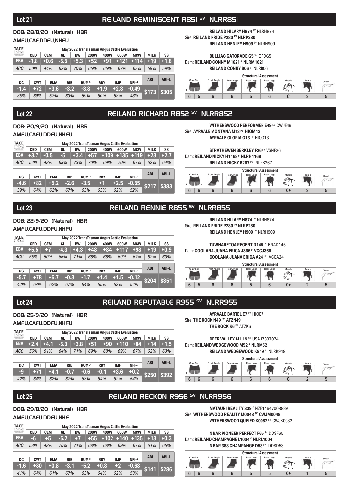### Lot 21 **REILAND REMINISCENT R851 SV NLRR851**

#### DOB: 28/8/20 (Natural) HBR

#### AMFU,CAF,DDFU,NHFU

| TACE<br>$\begin{bmatrix} \begin{smallmatrix} 1 & 0 & 0 \\ 0 & 1 & 0 \\ 0 & 0 & 1 \end{smallmatrix} \end{bmatrix} \begin{bmatrix} \begin{smallmatrix} 1 & 0 & 0 \\ 0 & 1 & 0 \\ 0 & 0 & 1 \end{smallmatrix} \end{bmatrix}$ |            |            |        |            |           |             |  |            |  |            | May 2022 TransTasman Angus Cattle Evaluation |  |             |              |
|---------------------------------------------------------------------------------------------------------------------------------------------------------------------------------------------------------------------------|------------|------------|--------|------------|-----------|-------------|--|------------|--|------------|----------------------------------------------|--|-------------|--------------|
| tamilasman Angus                                                                                                                                                                                                          | <b>CED</b> | <b>CEM</b> | GL     |            | <b>BW</b> | <b>200W</b> |  | 400W       |  | 600W       | <b>MCW</b>                                   |  | <b>MILK</b> | SS           |
| <b>EBV</b>                                                                                                                                                                                                                | $-1.8$     | $+0.6$     | $-5.5$ |            | $+5.3$    | $+52$       |  | $+91$      |  | $+121$     | $+114$                                       |  | $+19$       | $+1.8$       |
| <b>ACC</b>                                                                                                                                                                                                                | 50%        | 44%        | 62%    |            | 70%       | 65%         |  | 65%        |  | 67%        | 63%                                          |  | 58%         | 59%          |
|                                                                                                                                                                                                                           |            |            |        |            |           |             |  |            |  |            |                                              |  |             |              |
| DC                                                                                                                                                                                                                        | <b>CWT</b> | <b>EMA</b> |        | <b>RIB</b> |           | <b>RUMP</b> |  | <b>RBY</b> |  | <b>IMF</b> | NFI-F                                        |  | <b>ABI</b>  | <b>ABI-L</b> |
| $-1.4$                                                                                                                                                                                                                    | $+72$      | $+3.6$     |        | $-3.2$     |           | $-3.8$      |  | $+1.9$     |  | $+2.3$     | $-0.49$                                      |  | \$173       | \$305        |
| 35%                                                                                                                                                                                                                       | 60%        | 57%        |        | 63%        |           | 59%         |  | 60%        |  | 58%        | 48%                                          |  |             |              |

**REILAND HILARY H874** PV NLRH874 Sire: **REILAND PRIDE P280 PV NLRP280 REILAND HENLEY H909** SV NLRH909

#### **BULLIAC GATORADE G5** SV QPDG5 Dam: **REILAND CONNY M1621 # NLRM1621**

**REILAND CONNY B06** # NLRB06



### Lot 22 **REILAND RICHARD R852 SV NLRR852**

DOB: 20/9/20 (Natural) HBR AMFU,CAFU,DDFU,NHFU

| TACE<br>$\begin{bmatrix} \begin{bmatrix} 1 & 0 \\ 0 & 1 \end{bmatrix} & \begin{bmatrix} 1 & 0 \\ 0 & 1 \end{bmatrix} \end{bmatrix}$ |            |            |     |            |             |            |        | May 2022 TransTasman Angus Cattle Evaluation |              |             |              |  |  |
|-------------------------------------------------------------------------------------------------------------------------------------|------------|------------|-----|------------|-------------|------------|--------|----------------------------------------------|--------------|-------------|--------------|--|--|
| uesTauman Angus<br>Califa Peabuatan                                                                                                 | <b>CED</b> | <b>CEM</b> | GL  | <b>BW</b>  | <b>200W</b> |            | 400W   | 600W                                         | <b>MCW</b>   | <b>MILK</b> | SS           |  |  |
| <b>EBV</b>                                                                                                                          | $+3.7$     | $-0.5$     | 45  | $+3.4$     | $+57$       |            | $+109$ |                                              | $+135 + 119$ | $+23$       | $+2.7$       |  |  |
| <b>ACC</b>                                                                                                                          | 54%        | 48%        | 68% | 73%        | 70%         |            | 69%    | 70%                                          | 67%          | 62%         | 64%          |  |  |
|                                                                                                                                     |            |            |     |            |             |            |        |                                              |              |             |              |  |  |
| DC                                                                                                                                  | <b>CWT</b> | <b>EMA</b> |     | <b>RIB</b> | <b>RUMP</b> | <b>RBY</b> |        | <b>IMF</b>                                   | NFI-F        | <b>ABI</b>  | <b>ABI-L</b> |  |  |
| $-4.6$                                                                                                                              | $+82$      | $+5.2$     |     | $-2.6$     | $-3.5$      |            | $+1$   | $+2.5$                                       | $-0.55$      | \$217       | \$383        |  |  |
| 39%                                                                                                                                 | 64%        | 62%        |     | 67%        | 63%         |            | 63%    | 62%                                          | 52%          |             |              |  |  |

**WITHERSWOOD PERFORMER E49 SV CWJE49** Sire: **AYRVALE MONTANA M13 PV HIOM13 AYRVALE GLORIA G13** PV HIOG13

**STRATHEWEN BERKLEY F26 PV VSNF26** Dam: **REILAND NICKY H1168** # NLRH1168

**REILAND NICKY B267 PV NLRB267** 



#### Lot 23 **REILAND RENNIE R855** SV NLRR855

DOB: 22/9/20 (Natural) HBR AMFU,CAFU,DDFU,NHFU

| TACE<br>$\begin{bmatrix} \begin{bmatrix} 1 & 0 & 0 \\ 0 & 0 & 0 \\ 0 & 0 & 0 \end{bmatrix} \end{bmatrix} \begin{bmatrix} \begin{bmatrix} 1 & 0 & 0 \\ 0 & 1 & 0 \\ 0 & 0 & 0 \end{bmatrix} \end{bmatrix}$ |            |            |            |           |             |            | May 2022 TransTasman Angus Cattle Evaluation |            |             |        |
|-----------------------------------------------------------------------------------------------------------------------------------------------------------------------------------------------------------|------------|------------|------------|-----------|-------------|------------|----------------------------------------------|------------|-------------|--------|
| IransTaraman Angus                                                                                                                                                                                        | <b>CED</b> | <b>CEM</b> | GL         | <b>BW</b> | <b>200W</b> | 400W       | 600W                                         | <b>MCW</b> | <b>MILK</b> | SS     |
| <b>EBV</b>                                                                                                                                                                                                | $+5.5$     | $+7$       | $-4.3$     | $+4.3$    | $+48$       | +84        | $+117$                                       | $+98$      | $+19$       | $+0.9$ |
| <b>ACC</b>                                                                                                                                                                                                | 55%        | 50%        | 66%        | 71%       | 68%         | 68%        | 69%                                          | 67%        | 62%         | 63%    |
|                                                                                                                                                                                                           |            |            |            |           |             |            |                                              |            |             |        |
|                                                                                                                                                                                                           |            |            |            |           |             |            |                                              |            | <b>ABI</b>  | ABI-L  |
| <b>DC</b>                                                                                                                                                                                                 | <b>CWT</b> | <b>EMA</b> | <b>RIB</b> |           | <b>RUMP</b> | <b>RBY</b> | <b>IMF</b>                                   | NFI-F      |             |        |
| $-5.7$                                                                                                                                                                                                    | $+78$      | $+6.7$     | $-0.3$     |           | $-1.7$      | $+1.4$     | $+1.5$                                       | $-0.12$    | \$204       | \$351  |
| 42%                                                                                                                                                                                                       | 64%        | 62%        | 67%        |           | 64%         | 65%        | 62%                                          | 54%        |             |        |

**REILAND HILARY H874** PV NLRH874

Sire: **REILAND PRIDE P280 PV NLRP280 REILAND HENLEY H909** SV NLRH909

**TUWHARETOA REGENT D145 PV BNAD145** Dam: **COOLANA JUANA ERICA J366 # VCCJ366**

**COOLANA JUANA ERICA A24** SV VCCA24



### Lot 24 **REILAND REPUTABLE R955** SV NLRR955

DOB: 25/9/20 (Natural) HBR

#### AMFU,CAFU,DDFU,NHFU

| TACE<br>$\begin{bmatrix} \begin{bmatrix} 1 & 0 & 0 \\ 0 & 0 & 0 \\ 0 & 0 & 0 \end{bmatrix} \end{bmatrix} \begin{bmatrix} \begin{bmatrix} 1 & 0 & 0 \\ 0 & 1 & 0 \\ 0 & 0 & 0 \end{bmatrix} \end{bmatrix}$ |            |            |            |           |             |            | May 2022 TransTasman Angus Cattle Evaluation |            |             |              |  |
|-----------------------------------------------------------------------------------------------------------------------------------------------------------------------------------------------------------|------------|------------|------------|-----------|-------------|------------|----------------------------------------------|------------|-------------|--------------|--|
| tamilasman Angus                                                                                                                                                                                          | <b>CED</b> | <b>CEM</b> | GL         | <b>BW</b> | <b>200W</b> | 400W       | 600W                                         | <b>MCW</b> | <b>MILK</b> | SS           |  |
| <b>EBV</b>                                                                                                                                                                                                | $+2.4$     | $+4.1$     | $-5.3$     | $+3.8$    | $+51$       | $+90$      | $+110$                                       | $+84$      | $+14$       | $+1.5$       |  |
| <b>ACC</b>                                                                                                                                                                                                | 56%        | 51%        | 64%        | 71%       | 69%         | 68%        | 69%                                          | 67%        | 62%         | 63%          |  |
|                                                                                                                                                                                                           |            |            |            |           |             |            |                                              |            |             |              |  |
| DC                                                                                                                                                                                                        | <b>CWT</b> | <b>EMA</b> | <b>RIB</b> |           | <b>RUMP</b> | <b>RBY</b> | <b>IMF</b>                                   | NFI-F      | <b>ABI</b>  | <b>ABI-L</b> |  |
| -9                                                                                                                                                                                                        | $+71$      | $+4.1$     | -0.7       |           | $-0.6$      | $-0.1$     | $+3.6$                                       | $+0.2$     | \$250       | \$392        |  |
| 42%                                                                                                                                                                                                       | 64%        | 62%        | 67%        |           | 63%         | 64%        | 62%                                          | 54%        |             |              |  |

**AYRVALE BARTEL E7 PV HIOE7** Sire: **THE ROCK N49 PV ATZN49 THE ROCK K6<sup>PV</sup> ATZK6** 

**DEER VALLEY ALL IN <sup>SV</sup> USA17307074** Dam: **REILAND WEDGEWOOD M52 # NLRM52 REILAND WEDGEWOOD K919** # NLRK919



### **Lot 25** REILAND RECKON R956 SV NLRR956

#### DOB: 29/8/20 (Natural) HBR

#### AMFU,CAFU,DDFU,NHF

| TACE<br>$\begin{bmatrix} \begin{bmatrix} 1 & 0 & 0 \\ 0 & 0 & 0 \\ 0 & 0 & 0 \end{bmatrix} \end{bmatrix} \begin{bmatrix} \begin{bmatrix} 1 & 0 & 0 \\ 0 & 1 & 0 \\ 0 & 0 & 0 \end{bmatrix} \end{bmatrix}$ |            | May 2022 TransTasman Angus Cattle Evaluation |            |           |             |            |            |            |             |              |
|-----------------------------------------------------------------------------------------------------------------------------------------------------------------------------------------------------------|------------|----------------------------------------------|------------|-----------|-------------|------------|------------|------------|-------------|--------------|
| uesTaurran Angus<br>Califa Evaluation                                                                                                                                                                     | <b>CED</b> | <b>CEM</b>                                   | GL         | <b>BW</b> | <b>200W</b> | 400W       | 600W       | <b>MCW</b> | <b>MILK</b> | SS           |
| <b>EBV</b>                                                                                                                                                                                                | $-6.$      | $+5$                                         | -5.2       | $+7$      | $+55$       | $+102$     | $+140$     | $+135$     | $+13$       | $+0.3$       |
| ACC                                                                                                                                                                                                       | 53%        | 48%                                          | 70%        | 71%       | 68%         | 68%        | 69%        | 67%        | 61%         | 65%          |
|                                                                                                                                                                                                           |            |                                              |            |           |             |            |            |            |             |              |
| DC                                                                                                                                                                                                        | <b>CWT</b> | <b>EMA</b>                                   | <b>RIB</b> |           | <b>RUMP</b> | <b>RBY</b> | <b>IMF</b> | NFI-F      | <b>ABI</b>  | <b>ABI-L</b> |
| $-1.6$                                                                                                                                                                                                    | +80        | $+0.8$                                       | -3.1       |           | $-5.2$      | $+0.8$     | $+2$       | $-0.68$    | \$141       | \$286        |
| 41%                                                                                                                                                                                                       | 64%        | 61%                                          | 67%        |           | 63%         | 64%        | 62%        | 53%        |             |              |

**MATAURI REALITY 839** # NZE14647008839 Sire: **WITHERSWOOD REALITY M0048 SV CWJM0048 WITHERSWOOD QUEIED K0082 SV CWJK0082** 

**N BAR PIONEER PERFECT F65** SV DDSF65 Dam: **REILAND CHAMPAGNE L1004 # NLRL1004**

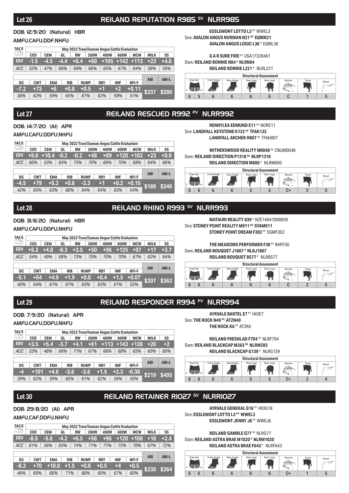### Lot 26 **REILAND REPUTATION R985<sup> SV</sup> NLRR985**

#### DOB: 12/9/20 (Natural) HBR

#### AMFU,CAFU,DDF,NHFU

| TACE<br>$\begin{bmatrix} \begin{bmatrix} 1 & 0 \\ 0 & 1 \end{bmatrix} & \begin{bmatrix} 1 & 0 \\ 0 & 1 \end{bmatrix} \end{bmatrix}$ |            |                                        | May 2022 TransTasman Angus Cattle Evaluation |           |             |            |            |                  |             |              |  |  |  |  |  |
|-------------------------------------------------------------------------------------------------------------------------------------|------------|----------------------------------------|----------------------------------------------|-----------|-------------|------------|------------|------------------|-------------|--------------|--|--|--|--|--|
| Cedito Evaluation                                                                                                                   | <b>CED</b> | <b>CEM</b>                             | GL                                           | <b>BW</b> | <b>200W</b> | 400W       | 600W       | <b>MCW</b>       | <b>MILK</b> | SS           |  |  |  |  |  |
| <b>EBV</b>                                                                                                                          | $-1.5$     | $-4.5$                                 | $-4.4$                                       | $+6.4$    | +60         |            |            | $+105$ +142 +113 | $+23$       | $+4.6$       |  |  |  |  |  |
| ACC                                                                                                                                 | 52%        | 47%                                    | 68%                                          | 69%       | 66%         | 65%        | 67%        | 64%              | 58%         | 59%          |  |  |  |  |  |
|                                                                                                                                     |            |                                        |                                              |           |             |            |            |                  |             |              |  |  |  |  |  |
| <b>DC</b>                                                                                                                           |            | <b>CWT</b><br><b>RIB</b><br><b>EMA</b> |                                              |           | <b>RUMP</b> | <b>RBY</b> | <b>IMF</b> | NFI-F            | <b>ABI</b>  | <b>ABI-L</b> |  |  |  |  |  |
| $-7.2$                                                                                                                              | $+73$      | $+6$                                   | $+0.8$                                       |           | $+0.5$      | $+1$       | $+2$       | $+0.11$          | \$237       | \$390        |  |  |  |  |  |
| 38%                                                                                                                                 | 62%        | 59%                                    |                                              | 65%       | 61%         | 62%        | 59%        | 51%              |             |              |  |  |  |  |  |

**ESSLEMONT LOTTO L3 PV WWEL3** Sire: **AVALON ANGUS NORMAN N21 SV EQWN21 AVALON ANGUS LOGIC L36** # EQWL36

### **G A R SURE FIRE** SV USA17328461

Dam: **REILAND BONNIE N84 # NLRN84 REILAND BONNIE L221** # NLRL221



### Lot 27 REILAND RESCUED R992 PV NLRR992

#### DOB: 14/7/20 (AI) APR AMFU,CAFU,DDFU,NHFU

| TACE<br>$\begin{bmatrix} \begin{bmatrix} 1 & 0 \\ 0 & 1 \end{bmatrix} & \begin{bmatrix} 1 & 0 \\ 0 & 1 \end{bmatrix} \end{bmatrix}$ | May 2022 TransTasman Angus Cattle Evaluation |            |            |           |             |      |            |  |            |            |             |              |  |  |  |
|-------------------------------------------------------------------------------------------------------------------------------------|----------------------------------------------|------------|------------|-----------|-------------|------|------------|--|------------|------------|-------------|--------------|--|--|--|
| uesTauman Angus<br>Califa Peabuatan                                                                                                 | <b>CED</b>                                   | <b>CEM</b> | GL         | <b>BW</b> | <b>200W</b> | 400W |            |  | 600W       | <b>MCW</b> | <b>MILK</b> | SS           |  |  |  |
| <b>EBV</b>                                                                                                                          | $+9.6$                                       | $+10.4$    | $-9.2$     | $-0.2$    | +48         |      | +89        |  | $+120$     | $+102$     | $+23$       | $+0.9$       |  |  |  |
| <b>ACC</b>                                                                                                                          | 60%                                          | 53%        | 83%        | 73%       | 70%         |      | 69%        |  | 70%        | 68%        | 64%         | 66%          |  |  |  |
|                                                                                                                                     |                                              |            |            |           |             |      |            |  |            |            |             |              |  |  |  |
| DC                                                                                                                                  | <b>CWT</b>                                   | <b>EMA</b> | <b>RIB</b> |           | <b>RUMP</b> |      | <b>RBY</b> |  | <b>IMF</b> | NFI-F      | <b>ABI</b>  | <b>ABI-L</b> |  |  |  |
| $-4.5$                                                                                                                              | $+79$                                        | $+5.2$     | $+0.6$     |           | $-2.3$      |      | $+1$       |  | $+0.2$     | $+0.15$    | \$188       | \$346        |  |  |  |
| 42%                                                                                                                                 | 65%                                          | 63%        | 68%        |           | 64%         |      | 64%        |  | 63%        | 54%        |             |              |  |  |  |

**RENNYLEA EDMUND E11<sup> PV</sup> NORE11** Sire: **LANDFALL KEYSTONE K132 PV TFAK132** LANDFALL ARCHER H807<sup>SV</sup> TFAH807

**WITHERSWOOD REALITY M0048** SV CWJM0048 Dam: **REILAND DIRECTION P1318<sup>SV</sup> NLRP1318 REILAND DIRECTION M600** # NLRM600



### Lot 28 **REILAND RHINO R993<sup>SV</sup> NLRR993**

### DOB: 31/8/20 (Natural) HBR

#### AMFU CAFU DDFU NHFU

| TACE<br>$\begin{bmatrix} \begin{bmatrix} 1 & 0 & 0 \\ 0 & 0 & 0 \\ 0 & 0 & 0 \end{bmatrix} \end{bmatrix} \begin{bmatrix} \begin{bmatrix} 1 & 0 & 0 \\ 0 & 1 & 0 \\ 0 & 0 & 0 \end{bmatrix} \end{bmatrix}$ |                                        | May 2022 TransTasman Angus Cattle Evaluation |        |             |             |            |        |            |              |        |
|-----------------------------------------------------------------------------------------------------------------------------------------------------------------------------------------------------------|----------------------------------------|----------------------------------------------|--------|-------------|-------------|------------|--------|------------|--------------|--------|
| ansTaraman Angus<br>Cofite Pupinarinos                                                                                                                                                                    | <b>CED</b>                             | <b>CEM</b>                                   | GL     | <b>BW</b>   | <b>200W</b> | 400W       | 600W   | <b>MCW</b> | <b>MILK</b>  | SS     |
| <b>EBV</b>                                                                                                                                                                                                | $+5.3$                                 | $+4.8$                                       | -8.3   | $+3.5$      | $+50$       | +96        | $+125$ | $+97$      | $+17$        | $+3.7$ |
| <b>ACC</b>                                                                                                                                                                                                | 54%                                    | 49%                                          | 68%    | 73%         | 70%         | 70%        | 70%    | 67%        | 62%          | 64%    |
|                                                                                                                                                                                                           |                                        |                                              |        |             |             |            |        |            |              |        |
| DC                                                                                                                                                                                                        | <b>CWT</b><br><b>EMA</b><br><b>RIB</b> |                                              |        | <b>RUMP</b> | <b>RBY</b>  | <b>IMF</b> | NFI-F  | <b>ABI</b> | <b>ABI-L</b> |        |
| -5.1                                                                                                                                                                                                      | $+64$                                  | $+4.9$                                       | $+1.9$ |             | $+0.8$      | $+0.4$     | $+1.5$ | $+0.07$    | \$207        | \$362  |
| 40%                                                                                                                                                                                                       | 64%                                    | 61%                                          | 67%    |             | 63%         | 63%        | 61%    | 52%        |              |        |

**MATAURI REALITY 839** # NZE14647008839 Sire: **STONEY POINT REALITY M911 PV SYAM911** 

**STONEY POINT DREAM F302 PV SGMF302** 

**THE MEADOWS PERFORMER F30 SV BHFF30** Dam: **REILAND BOUQUET J1007 # NLRJ1007**

**REILAND BOUQUET B577** # NLRB577



### Lot 29 REILAND RESPONDER R994 PV NLRR994

#### DOB: 7/9/20 (Natural) APR

#### AMFU,CAFU,DDFU,NHFU

| TACE<br>$\begin{bmatrix} \begin{smallmatrix} 1 & 0 & 0 \\ 0 & 1 & 0 \\ 0 & 0 & 1 \end{smallmatrix} \end{bmatrix} \begin{bmatrix} \begin{smallmatrix} 1 & 0 & 0 \\ 0 & 1 & 0 \\ 0 & 0 & 1 \end{smallmatrix} \end{bmatrix}$ |            | May 2022 TransTasman Angus Cattle Evaluation |        |            |             |            |            |                    |             |              |  |  |  |  |  |
|---------------------------------------------------------------------------------------------------------------------------------------------------------------------------------------------------------------------------|------------|----------------------------------------------|--------|------------|-------------|------------|------------|--------------------|-------------|--------------|--|--|--|--|--|
| ansTaraman Angus<br>Colitie Evaluation                                                                                                                                                                                    | <b>CED</b> | <b>CEM</b>                                   | GL     | <b>BW</b>  | <b>200W</b> | 400W       | 600W       | <b>MCW</b>         | <b>MILK</b> | SS           |  |  |  |  |  |
| <b>EBV</b>                                                                                                                                                                                                                | $+3.5$     | $+5.4$                                       | $-3.7$ | $+4.1$     | $+61$       |            |            | $+113$ + 143 + 138 | $+20$       | $+2$         |  |  |  |  |  |
| <b>ACC</b>                                                                                                                                                                                                                | 53%        | 48%                                          | 66%    | 71%        | 67%         | 66%        | 68%        | 65%                | 60%         | 60%          |  |  |  |  |  |
|                                                                                                                                                                                                                           |            |                                              |        |            |             |            |            |                    |             |              |  |  |  |  |  |
| DC                                                                                                                                                                                                                        | <b>CWT</b> | <b>EMA</b>                                   |        | <b>RIB</b> | <b>RUMP</b> | <b>RBY</b> | <b>IMF</b> | NFI-F              | <b>ABI</b>  | <b>ABI-L</b> |  |  |  |  |  |
| -4                                                                                                                                                                                                                        | $+101$     | $+4.6$                                       |        | $-3.6$     | $-3.6$      | $+1.5$     | $+2.3$     | $-0.38$            | \$219       | \$405        |  |  |  |  |  |
| 39%                                                                                                                                                                                                                       | 62%        | 59%                                          |        | 65%        | 61%         | 62%        | 59%        | 50%                |             |              |  |  |  |  |  |

**AYRVALE BARTEL E7 PV HIOE7** Sire: **THE ROCK N49 PV ATZN49 THE ROCK K6<sup>PV</sup> ATZK6** 

**REILAND FRESHLAD F704** SV NLRF704 Dam: **REILAND BLACKCAP M283 SV NLRM283 REILAND BLACKCAP G139** # NLRG139



### Lot 30 **REILAND RETAINER RIOZZ<sup>SV</sup> NLRRIOZZ**

#### DOB: 29/8/20 (AI) APR

#### AMFU,CAF,DDFU,NHFU

| TACE<br>$\begin{bmatrix} \begin{bmatrix} \begin{bmatrix} 1 & 0 \\ 0 & 1 \end{bmatrix} & \begin{bmatrix} 1 & 0 \\ 0 & 1 \end{bmatrix} \end{bmatrix} \end{bmatrix} \end{bmatrix} \begin{bmatrix} \begin{bmatrix} 1 & 0 \\ 0 & 1 \end{bmatrix} & \begin{bmatrix} 1 & 0 \\ 0 & 1 \end{bmatrix} \end{bmatrix} \end{bmatrix}$ |                                        | May 2022 TransTasman Angus Cattle Evaluation |        |             |             |            |        |            |              |        |  |  |  |  |  |  |
|-------------------------------------------------------------------------------------------------------------------------------------------------------------------------------------------------------------------------------------------------------------------------------------------------------------------------|----------------------------------------|----------------------------------------------|--------|-------------|-------------|------------|--------|------------|--------------|--------|--|--|--|--|--|--|
| uesTauman Angus<br>Califa Peabuatan                                                                                                                                                                                                                                                                                     | <b>CED</b>                             | <b>CEM</b>                                   | GL     | <b>BW</b>   | <b>200W</b> | 400W       | 600W   | <b>MCW</b> | <b>MILK</b>  | SS     |  |  |  |  |  |  |
| <b>EBV</b>                                                                                                                                                                                                                                                                                                              | $-8.5$                                 | $-5.8$                                       | $-4.2$ | $+6.5$      | $+56$       | $+96$      | $+120$ | $+108$     | $+10$        | $+2.4$ |  |  |  |  |  |  |
| <b>ACC</b>                                                                                                                                                                                                                                                                                                              | 61%                                    | 56%                                          | 83%    | 74%         | 71%         | 71%        | 72%    | 70%        | 67%          | 72%    |  |  |  |  |  |  |
|                                                                                                                                                                                                                                                                                                                         |                                        |                                              |        |             |             |            |        |            |              |        |  |  |  |  |  |  |
| <b>DC</b>                                                                                                                                                                                                                                                                                                               | <b>RIB</b><br><b>CWT</b><br><b>EMA</b> |                                              |        | <b>RUMP</b> | <b>RBY</b>  | <b>IMF</b> | NFI-F  | <b>ABI</b> | <b>ABI-L</b> |        |  |  |  |  |  |  |
| $-8.3$                                                                                                                                                                                                                                                                                                                  | $+70$                                  | $+10.8$                                      |        | $+1.5$      | $+0.8$      | $+0.5$     | $+4$   | $+0.5$     | \$230        | \$364  |  |  |  |  |  |  |
| 46%                                                                                                                                                                                                                                                                                                                     | 69%                                    | 66%                                          |        | 71%         | 68%         | 69%        | 67%    | 60%        |              |        |  |  |  |  |  |  |

**AYRVALE GENERAL G18** PV HIOG18 Sire: **ESSLEMONT LOTTO L3 PV WWEL3 ESSLEMONT JENNY J8** PV WWEJ8

**REILAND GAMBLE G77** SV NLRG77 Dam: **REILAND ASTRA BRAE M1020 # NLRM1020**

**REILAND ASTRA BRAE F643** # NLRF643 **Structural Assessment** Claw Se Front Angle Rear Angle Rear Legs Rear Legs Muscle Temp Sheat A ÷. F **H** 6 6 6 6 6 6 C+ 1 5